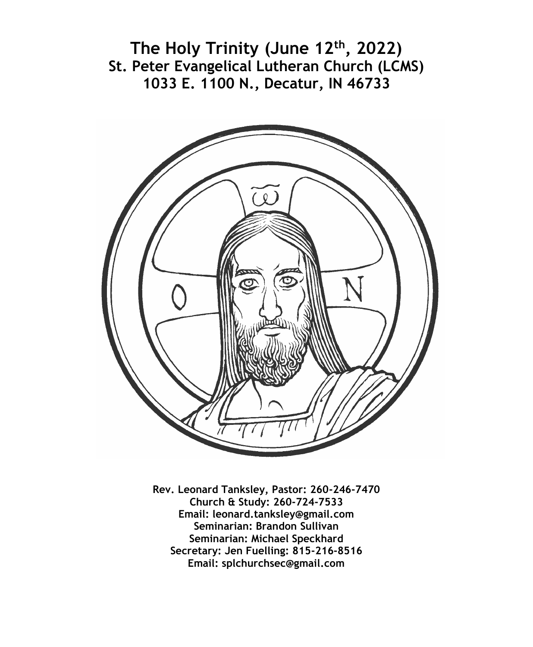**The Holy Trinity (June 12th, 2022) St. Peter Evangelical Lutheran Church (LCMS) 1033 E. 1100 N., Decatur, IN 46733**



**Rev. Leonard Tanksley, Pastor: 260-246-7470 Church & Study: 260-724-7533 Email: leonard.tanksley@gmail.com Seminarian: Brandon Sullivan Seminarian: Michael Speckhard Secretary: Jen Fuelling: 815-216-8516 Email: splchurchsec@gmail.com**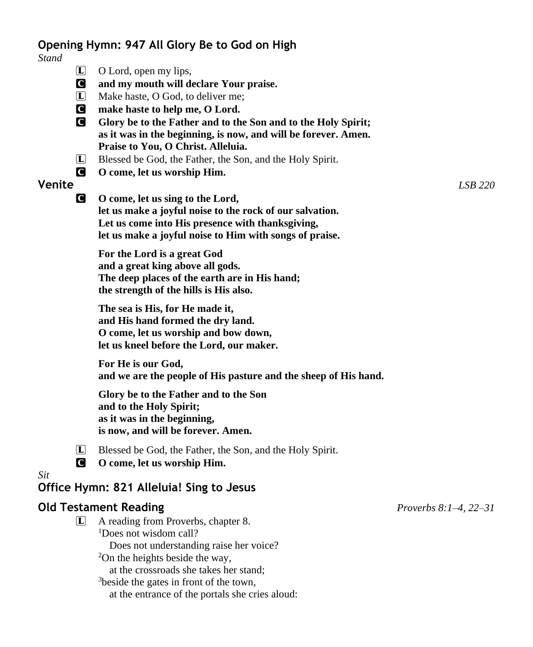# **Opening Hymn: 947 All Glory Be to God on High**

*Stand* L O Lord, open my lips, C **and my mouth will declare Your praise.** L Make haste, O God, to deliver me; C **make haste to help me, O Lord.** C **Glory be to the Father and to the Son and to the Holy Spirit; as it was in the beginning, is now, and will be forever. Amen. Praise to You, O Christ. Alleluia.** L Blessed be God, the Father, the Son, and the Holy Spirit. C **O come, let us worship Him. Venite** *LSB 220* C **O come, let us sing to the Lord, let us make a joyful noise to the rock of our salvation. Let us come into His presence with thanksgiving, let us make a joyful noise to Him with songs of praise. For the Lord is a great God and a great king above all gods. The deep places of the earth are in His hand; the strength of the hills is His also. The sea is His, for He made it, and His hand formed the dry land. O come, let us worship and bow down, let us kneel before the Lord, our maker. For He is our God, and we are the people of His pasture and the sheep of His hand. Glory be to the Father and to the Son and to the Holy Spirit; as it was in the beginning, is now, and will be forever. Amen.** L Blessed be God, the Father, the Son, and the Holy Spirit. C **O come, let us worship Him.** *Sit* **Office Hymn: 821 Alleluia! Sing to Jesus Old Testament Reading** *Proverbs 8:1–4, 22–31* L A reading from Proverbs, chapter 8. <sup>1</sup>Does not wisdom call? Does not understanding raise her voice?  $2$ On the heights beside the way. at the crossroads she takes her stand; <sup>3</sup>beside the gates in front of the town, at the entrance of the portals she cries aloud: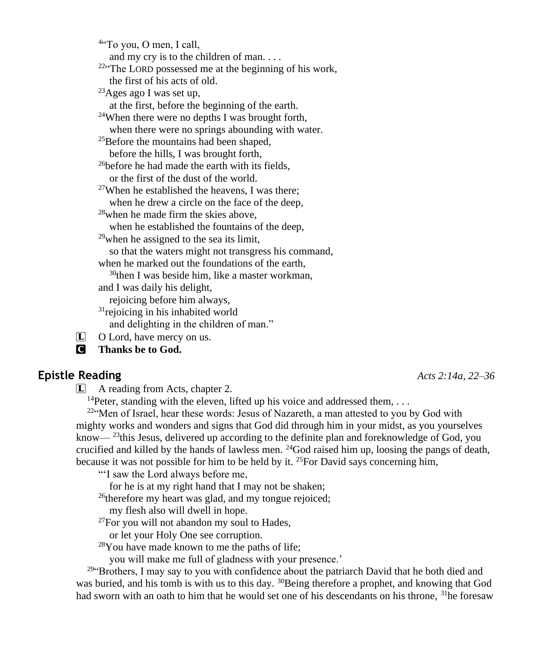4 "To you, O men, I call, and my cry is to the children of man. . . . <sup>22</sup>"The LORD possessed me at the beginning of his work, the first of his acts of old. <sup>23</sup>Ages ago I was set up, at the first, before the beginning of the earth. <sup>24</sup>When there were no depths I was brought forth, when there were no springs abounding with water. <sup>25</sup>Before the mountains had been shaped, before the hills, I was brought forth, <sup>26</sup>before he had made the earth with its fields, or the first of the dust of the world. <sup>27</sup>When he established the heavens, I was there; when he drew a circle on the face of the deep, <sup>28</sup>when he made firm the skies above, when he established the fountains of the deep,  $29$  when he assigned to the sea its limit, so that the waters might not transgress his command, when he marked out the foundations of the earth,  $30$ then I was beside him, like a master workman, and I was daily his delight, rejoicing before him always,  $31$ rejoicing in his inhabited world and delighting in the children of man."  $\Box$  O Lord, have mercy on us.

C **Thanks be to God.**

#### **Epistle Reading** *Acts 2:14a, 22–36*

L A reading from Acts, chapter 2.

<sup>14</sup>Peter, standing with the eleven, lifted up his voice and addressed them, ...

 $22^{\epsilon}$ Men of Israel, hear these words: Jesus of Nazareth, a man attested to you by God with mighty works and wonders and signs that God did through him in your midst, as you yourselves know— $^{23}$ this Jesus, delivered up according to the definite plan and foreknowledge of God, you crucified and killed by the hands of lawless men.  $^{24}$ God raised him up, loosing the pangs of death, because it was not possible for him to be held by it. <sup>25</sup>For David says concerning him,

"'I saw the Lord always before me,

for he is at my right hand that I may not be shaken;

<sup>26</sup>therefore my heart was glad, and my tongue rejoiced;

my flesh also will dwell in hope.

 $27$ For you will not abandon my soul to Hades,

or let your Holy One see corruption.

<sup>28</sup>You have made known to me the paths of life;

you will make me full of gladness with your presence.'

<sup>294</sup> Brothers, I may say to you with confidence about the patriarch David that he both died and was buried, and his tomb is with us to this day. <sup>30</sup>Being therefore a prophet, and knowing that God had sworn with an oath to him that he would set one of his descendants on his throne, <sup>31</sup>he foresaw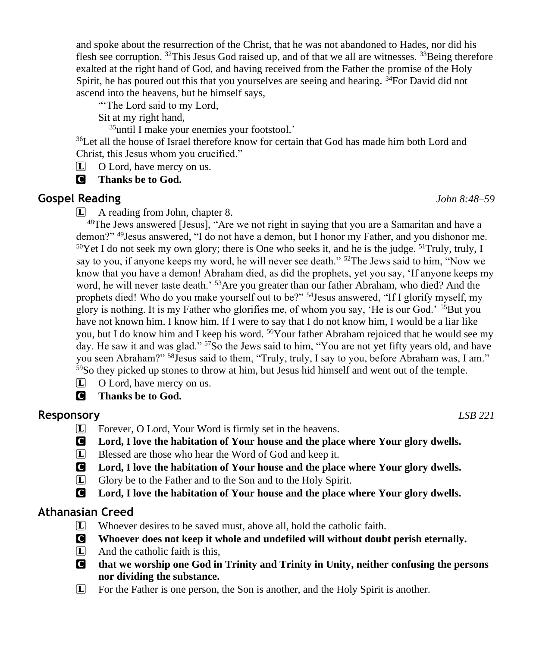and spoke about the resurrection of the Christ, that he was not abandoned to Hades, nor did his flesh see corruption.  $^{32}$ This Jesus God raised up, and of that we all are witnesses.  $^{33}$ Being therefore exalted at the right hand of God, and having received from the Father the promise of the Holy Spirit, he has poured out this that you yourselves are seeing and hearing. <sup>34</sup>For David did not ascend into the heavens, but he himself says,

"The Lord said to my Lord,

Sit at my right hand,

<sup>35</sup>until I make your enemies your footstool.'

<sup>36</sup>Let all the house of Israel therefore know for certain that God has made him both Lord and Christ, this Jesus whom you crucified."

L O Lord, have mercy on us.

C **Thanks be to God.**

# **Gospel Reading** *John 8:48–59*

L A reading from John, chapter 8.

<sup>48</sup>The Jews answered [Jesus], "Are we not right in saying that you are a Samaritan and have a demon?" <sup>49</sup>Jesus answered, "I do not have a demon, but I honor my Father, and you dishonor me. <sup>50</sup>Yet I do not seek my own glory; there is One who seeks it, and he is the judge. <sup>51</sup>Truly, truly, I say to you, if anyone keeps my word, he will never see death." <sup>52</sup>The Jews said to him, "Now we know that you have a demon! Abraham died, as did the prophets, yet you say, 'If anyone keeps my word, he will never taste death.<sup>53</sup>Are you greater than our father Abraham, who died? And the prophets died! Who do you make yourself out to be?" <sup>54</sup>Jesus answered, "If I glorify myself, my glory is nothing. It is my Father who glorifies me, of whom you say, 'He is our God.' <sup>55</sup>But you have not known him. I know him. If I were to say that I do not know him, I would be a liar like you, but I do know him and I keep his word. <sup>56</sup>Your father Abraham rejoiced that he would see my day. He saw it and was glad." <sup>57</sup>So the Jews said to him, "You are not yet fifty years old, and have you seen Abraham?" <sup>58</sup>Jesus said to them, "Truly, truly, I say to you, before Abraham was, I am."  $59$ So they picked up stones to throw at him, but Jesus hid himself and went out of the temple.

- $\Box$  O Lord, have mercy on us.
- C **Thanks be to God.**

# **Responsory** *LSB 221*

- L Forever, O Lord, Your Word is firmly set in the heavens.
- C **Lord, I love the habitation of Your house and the place where Your glory dwells.**
- L Blessed are those who hear the Word of God and keep it.
- C **Lord, I love the habitation of Your house and the place where Your glory dwells.**
- L Glory be to the Father and to the Son and to the Holy Spirit.
- C **Lord, I love the habitation of Your house and the place where Your glory dwells.**

# **Athanasian Creed**

- L Whoever desires to be saved must, above all, hold the catholic faith.
- C **Whoever does not keep it whole and undefiled will without doubt perish eternally.**
- $\Box$  And the catholic faith is this.
- C **that we worship one God in Trinity and Trinity in Unity, neither confusing the persons nor dividing the substance.**
- L For the Father is one person, the Son is another, and the Holy Spirit is another.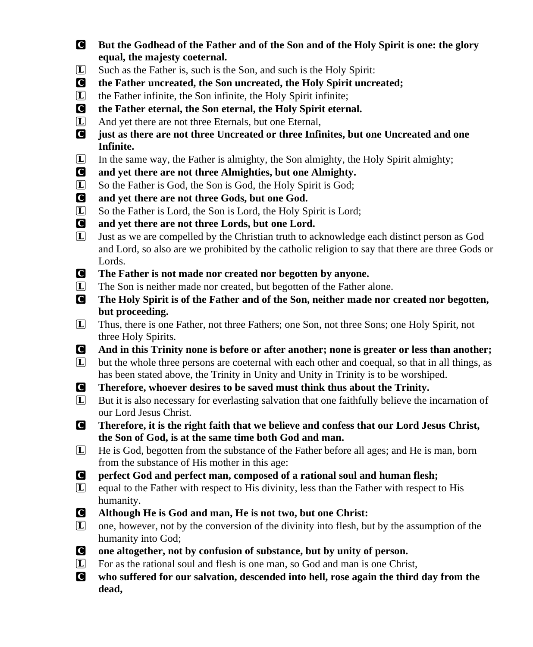- C **But the Godhead of the Father and of the Son and of the Holy Spirit is one: the glory equal, the majesty coeternal.**
- L Such as the Father is, such is the Son, and such is the Holy Spirit:
- C **the Father uncreated, the Son uncreated, the Holy Spirit uncreated;**
- $\Box$  the Father infinite, the Son infinite, the Holy Spirit infinite;
- C **the Father eternal, the Son eternal, the Holy Spirit eternal.**
- L And yet there are not three Eternals, but one Eternal,
- C **just as there are not three Uncreated or three Infinites, but one Uncreated and one Infinite.**
- $\mathbf{L}$  In the same way, the Father is almighty, the Son almighty, the Holy Spirit almighty;
- C **and yet there are not three Almighties, but one Almighty.**
- L So the Father is God, the Son is God, the Holy Spirit is God;
- C **and yet there are not three Gods, but one God.**
- L So the Father is Lord, the Son is Lord, the Holy Spirit is Lord;
- C **and yet there are not three Lords, but one Lord.**
- $\overline{L}$  Just as we are compelled by the Christian truth to acknowledge each distinct person as God and Lord, so also are we prohibited by the catholic religion to say that there are three Gods or Lords.
- C **The Father is not made nor created nor begotten by anyone.**
- L The Son is neither made nor created, but begotten of the Father alone.
- C **The Holy Spirit is of the Father and of the Son, neither made nor created nor begotten, but proceeding.**
- L Thus, there is one Father, not three Fathers; one Son, not three Sons; one Holy Spirit, not three Holy Spirits.
- C **And in this Trinity none is before or after another; none is greater or less than another;**
- $\mathbf{L}$  but the whole three persons are coeternal with each other and coequal, so that in all things, as has been stated above, the Trinity in Unity and Unity in Trinity is to be worshiped.
- C **Therefore, whoever desires to be saved must think thus about the Trinity.**
- L But it is also necessary for everlasting salvation that one faithfully believe the incarnation of our Lord Jesus Christ.
- C **Therefore, it is the right faith that we believe and confess that our Lord Jesus Christ, the Son of God, is at the same time both God and man.**
- L He is God, begotten from the substance of the Father before all ages; and He is man, born from the substance of His mother in this age:
- C **perfect God and perfect man, composed of a rational soul and human flesh;**
- L equal to the Father with respect to His divinity, less than the Father with respect to His humanity.
- C **Although He is God and man, He is not two, but one Christ:**
- L one, however, not by the conversion of the divinity into flesh, but by the assumption of the humanity into God;
- C **one altogether, not by confusion of substance, but by unity of person.**
- $\mathbf{L}$  For as the rational soul and flesh is one man, so God and man is one Christ,
- C **who suffered for our salvation, descended into hell, rose again the third day from the dead,**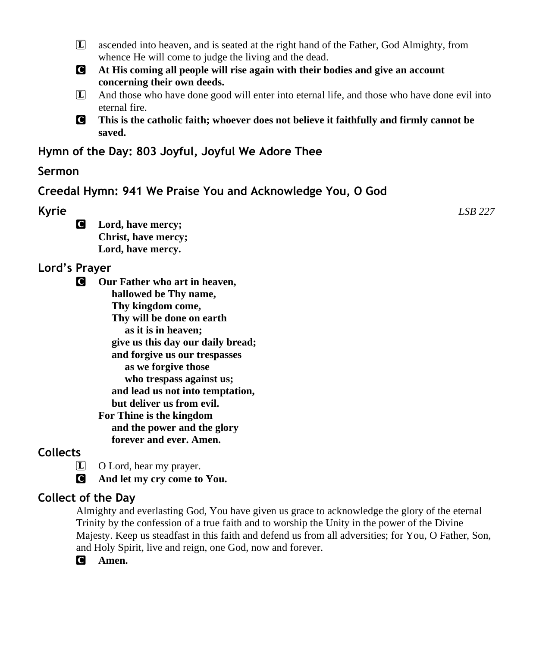- L ascended into heaven, and is seated at the right hand of the Father, God Almighty, from whence He will come to judge the living and the dead.
- C **At His coming all people will rise again with their bodies and give an account concerning their own deeds.**
- L And those who have done good will enter into eternal life, and those who have done evil into eternal fire.
- C **This is the catholic faith; whoever does not believe it faithfully and firmly cannot be saved.**

**Hymn of the Day: 803 Joyful, Joyful We Adore Thee**

## **Sermon**

**Creedal Hymn: 941 We Praise You and Acknowledge You, O God**

**Kyrie** *LSB 227*

C **Lord, have mercy; Christ, have mercy; Lord, have mercy.**

# **Lord's Prayer**

C **Our Father who art in heaven, hallowed be Thy name, Thy kingdom come, Thy will be done on earth as it is in heaven; give us this day our daily bread; and forgive us our trespasses as we forgive those who trespass against us; and lead us not into temptation, but deliver us from evil. For Thine is the kingdom and the power and the glory forever and ever. Amen.**

# **Collects**

L O Lord, hear my prayer.

C **And let my cry come to You.**

# **Collect of the Day**

Almighty and everlasting God, You have given us grace to acknowledge the glory of the eternal Trinity by the confession of a true faith and to worship the Unity in the power of the Divine Majesty. Keep us steadfast in this faith and defend us from all adversities; for You, O Father, Son, and Holy Spirit, live and reign, one God, now and forever.

C **Amen.**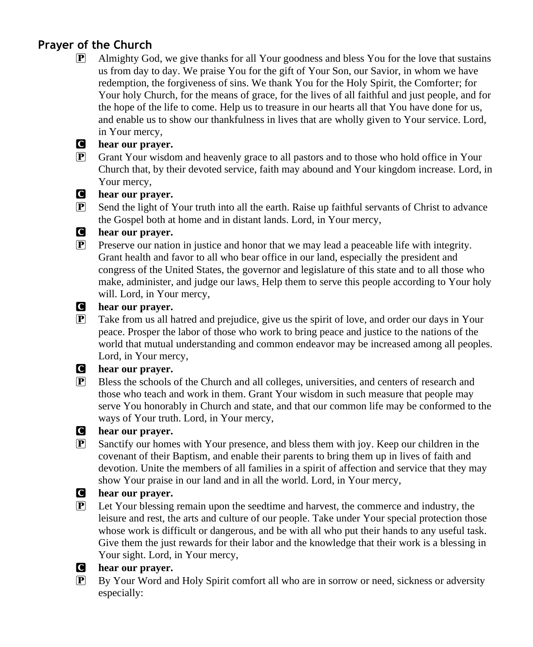# **Prayer of the Church**

 $\mathbb{P}$  Almighty God, we give thanks for all Your goodness and bless You for the love that sustains us from day to day. We praise You for the gift of Your Son, our Savior, in whom we have redemption, the forgiveness of sins. We thank You for the Holy Spirit, the Comforter; for Your holy Church, for the means of grace, for the lives of all faithful and just people, and for the hope of the life to come. Help us to treasure in our hearts all that You have done for us, and enable us to show our thankfulness in lives that are wholly given to Your service. Lord, in Your mercy,

#### C **hear our prayer.**

P Grant Your wisdom and heavenly grace to all pastors and to those who hold office in Your Church that, by their devoted service, faith may abound and Your kingdom increase. Lord, in Your mercy,

#### C **hear our prayer.**

 $\mathbb{P}$  Send the light of Your truth into all the earth. Raise up faithful servants of Christ to advance the Gospel both at home and in distant lands. Lord, in Your mercy,

#### C **hear our prayer.**

 $\mathbb{P}$  Preserve our nation in justice and honor that we may lead a peaceable life with integrity. Grant health and favor to all who bear office in our land, especially the president and congress of the United States, the governor and legislature of this state and to all those who make, administer, and judge our laws*.* Help them to serve this people according to Your holy will. Lord, in Your mercy,

#### C **hear our prayer.**

P Take from us all hatred and prejudice, give us the spirit of love, and order our days in Your peace. Prosper the labor of those who work to bring peace and justice to the nations of the world that mutual understanding and common endeavor may be increased among all peoples. Lord, in Your mercy,

#### C **hear our prayer.**

 $\mathbb{P}$  Bless the schools of the Church and all colleges, universities, and centers of research and those who teach and work in them. Grant Your wisdom in such measure that people may serve You honorably in Church and state, and that our common life may be conformed to the ways of Your truth. Lord, in Your mercy,

#### C **hear our prayer.**

 $\mathbf{P}$  Sanctify our homes with Your presence, and bless them with joy. Keep our children in the covenant of their Baptism, and enable their parents to bring them up in lives of faith and devotion. Unite the members of all families in a spirit of affection and service that they may show Your praise in our land and in all the world. Lord, in Your mercy,

#### C **hear our prayer.**

 $\mathbf{P}$  Let Your blessing remain upon the seedtime and harvest, the commerce and industry, the leisure and rest, the arts and culture of our people. Take under Your special protection those whose work is difficult or dangerous, and be with all who put their hands to any useful task. Give them the just rewards for their labor and the knowledge that their work is a blessing in Your sight. Lord, in Your mercy,

### C **hear our prayer.**

P By Your Word and Holy Spirit comfort all who are in sorrow or need, sickness or adversity especially: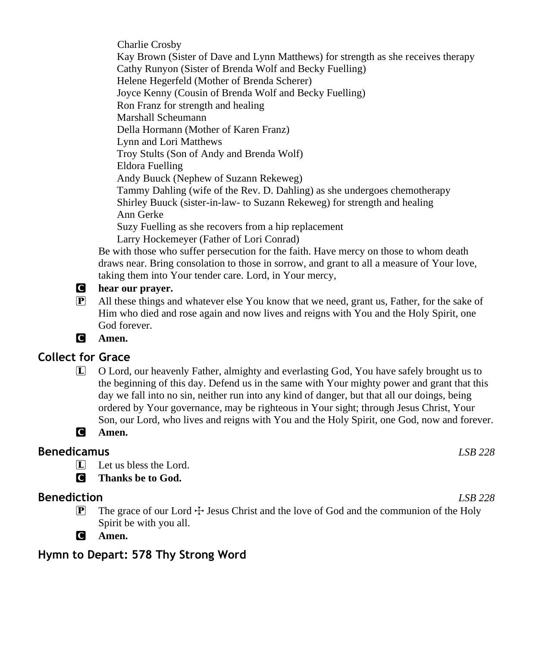Charlie Crosby Kay Brown (Sister of Dave and Lynn Matthews) for strength as she receives therapy Cathy Runyon (Sister of Brenda Wolf and Becky Fuelling) Helene Hegerfeld (Mother of Brenda Scherer) Joyce Kenny (Cousin of Brenda Wolf and Becky Fuelling) Ron Franz for strength and healing Marshall Scheumann Della Hormann (Mother of Karen Franz) Lynn and Lori Matthews Troy Stults (Son of Andy and Brenda Wolf) Eldora Fuelling Andy Buuck (Nephew of Suzann Rekeweg) Tammy Dahling (wife of the Rev. D. Dahling) as she undergoes chemotherapy Shirley Buuck (sister-in-law- to Suzann Rekeweg) for strength and healing Ann Gerke Suzy Fuelling as she recovers from a hip replacement Larry Hockemeyer (Father of Lori Conrad)

Be with those who suffer persecution for the faith. Have mercy on those to whom death draws near. Bring consolation to those in sorrow, and grant to all a measure of Your love, taking them into Your tender care. Lord, in Your mercy,

- C **hear our prayer.**
- $\mathbb{P}$  All these things and whatever else You know that we need, grant us, Father, for the sake of Him who died and rose again and now lives and reigns with You and the Holy Spirit, one God forever.
- C **Amen.**

# **Collect for Grace**

L O Lord, our heavenly Father, almighty and everlasting God, You have safely brought us to the beginning of this day. Defend us in the same with Your mighty power and grant that this day we fall into no sin, neither run into any kind of danger, but that all our doings, being ordered by Your governance, may be righteous in Your sight; through Jesus Christ, Your Son, our Lord, who lives and reigns with You and the Holy Spirit, one God, now and forever.



# **Benedicamus** *LSB 228*

- $\Box$  Let us bless the Lord.
- C **Thanks be to God.**

# **Benediction** *LSB 228*

- **P** The grace of our Lord  $\pm$  Jesus Christ and the love of God and the communion of the Holy Spirit be with you all.
- C **Amen.**

**Hymn to Depart: 578 Thy Strong Word**